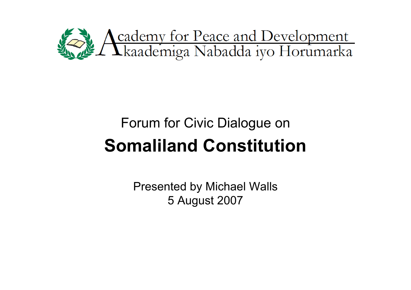

# **Somaliland Constitution** Forum for Civic Dialogue on

Presented by Michael Walls 5 August 2007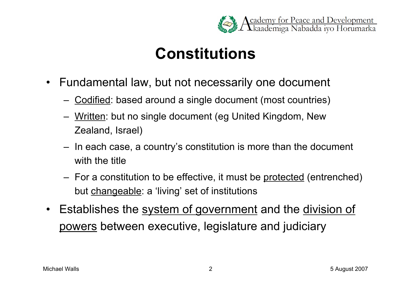

## **Constitutions**

- Fundamental law, but not necessarily one document
	- Codified: based around a single document (most countries)
	- Written: but no single document (eg United Kingdom, New Zealand, Israel)
	- In each case, a country's constitution is more than the document with the title
	- For a constitution to be effective, it must be protected (entrenched) but changeable: a 'living' set of institutions
- Establishes the system of government and the division of powers between executive, legislature and judiciary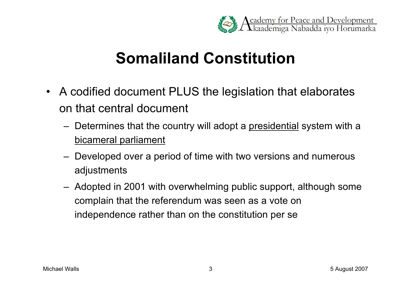

#### **Somaliland Constitution**

- A codified document PLUS the legislation that elaborates on that central document
	- Determines that the country will adopt a presidential system with a bicameral parliament
	- Developed over a period of time with two versions and numerous adjustments
	- Adopted in 2001 with overwhelming public support, although some complain that the referendum was seen as a vote on independence rather than on the constitution per se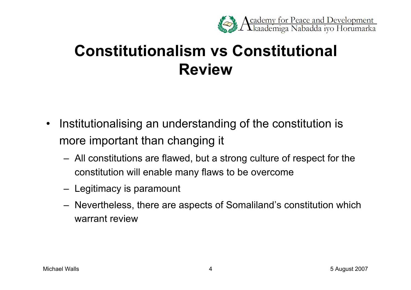

## **Constitutionalism vs Constitutional Review**

- Institutionalising an understanding of the constitution is more important than changing it
	- All constitutions are flawed, but a strong culture of respect for the constitution will enable many flaws to be overcome
	- Legitimacy is paramount
	- Nevertheless, there are aspects of Somaliland's constitution which warrant review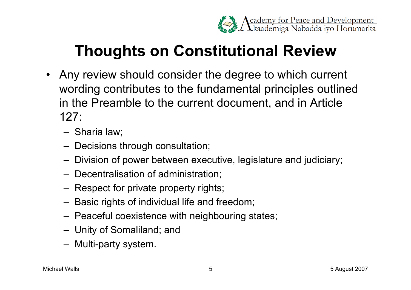

## **Thoughts on Constitutional Review**

- Any review should consider the degree to which current wording contributes to the fundamental principles outlined in the Preamble to the current document, and in Article 127:
	- Sharia law;
	- Decisions through consultation;
	- Division of power between executive, legislature and judiciary;
	- Decentralisation of administration;
	- Respect for private property rights;
	- Basic rights of individual life and freedom;
	- Peaceful coexistence with neighbouring states;
	- Unity of Somaliland; and
	- Multi-party system.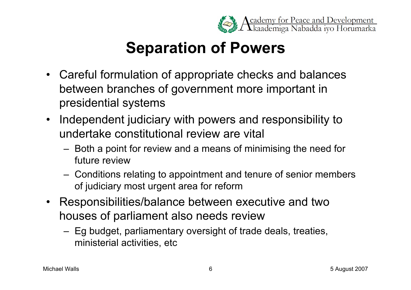

## **Separation of Powers**

- Careful formulation of appropriate checks and balances between branches of government more important in presidential systems
- Independent judiciary with powers and responsibility to undertake constitutional review are vital
	- Both a point for review and a means of minimising the need for future review
	- Conditions relating to appointment and tenure of senior members of judiciary most urgent area for reform
- Responsibilities/balance between executive and two houses of parliament also needs review
	- Eg budget, parliamentary oversight of trade deals, treaties, ministerial activities, etc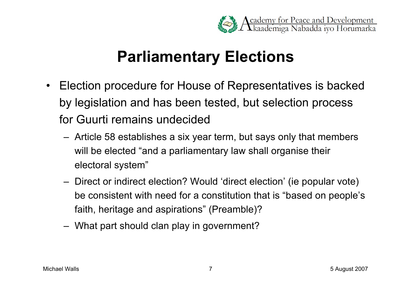

#### **Parliamentary Elections**

- Election procedure for House of Representatives is backed by legislation and has been tested, but selection process for Guurti remains undecided
	- Article 58 establishes a six year term, but says only that members will be elected "and a parliamentary law shall organise their electoral system"
	- Direct or indirect election? Would 'direct election' (ie popular vote) be consistent with need for a constitution that is "based on people's faith, heritage and aspirations" (Preamble)?
	- What part should clan play in government?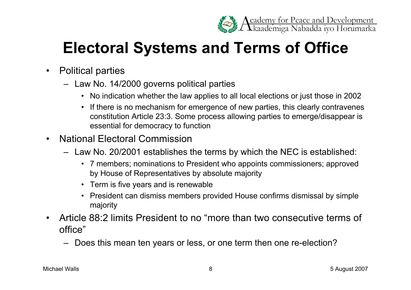

## **Electoral Systems and Terms of Office**

- Political parties
	- Law No. 14/2000 governs political parties
		- No indication whether the law applies to all local elections or just those in 2002
		- If there is no mechanism for emergence of new parties, this clearly contravenes constitution Article 23:3. Some process allowing parties to emerge/disappear is essential for democracy to function
- National Electoral Commission
	- Law No. 20/2001 establishes the terms by which the NEC is established:
		- 7 members; nominations to President who appoints commissioners; approved by House of Representatives by absolute majority
		- Term is five years and is renewable
		- President can dismiss members provided House confirms dismissal by simple majority
- Article 88:2 limits President to no "more than two consecutive terms of office"
	- Does this mean ten years or less, or one term then one re-election?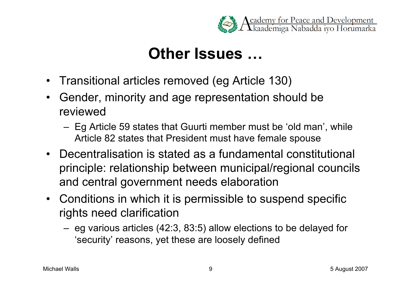

#### **Other Issues …**

- Transitional articles removed (eg Article 130)
- Gender, minority and age representation should be reviewed
	- Eg Article 59 states that Guurti member must be 'old man' , while Article 82 states that President must have female spouse
- Decentralisation is stated as a fundamental constitutional principle: relationship between municipal/regional councils and central government needs elaboration
- Conditions in which it is permissible to suspend specific rights need clarification
	- eg various articles (42:3, 83:5) allow elections to be delayed for 'security' reasons, yet these are loosely defined